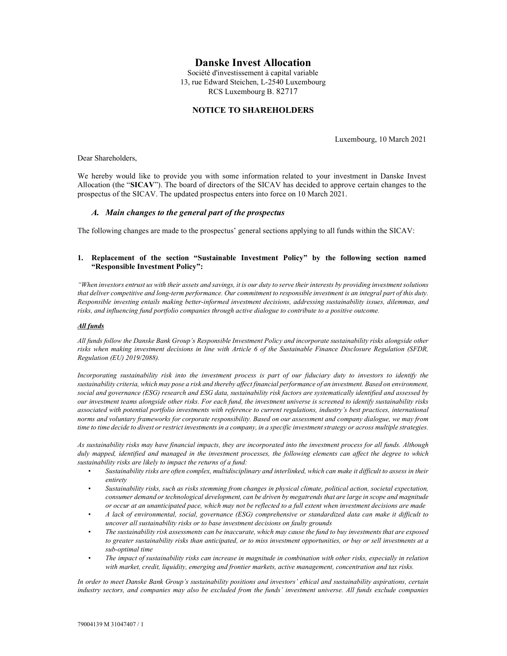# Danske Invest Allocation

Société d'investissement à capital variable 13, rue Edward Steichen, L-2540 Luxembourg RCS Luxembourg B. 82717

## NOTICE TO SHAREHOLDERS

Luxembourg, 10 March 2021

Dear Shareholders,

We hereby would like to provide you with some information related to your investment in Danske Invest Allocation (the "SICAV"). The board of directors of the SICAV has decided to approve certain changes to the prospectus of the SICAV. The updated prospectus enters into force on 10 March 2021.

### A. Main changes to the general part of the prospectus

The following changes are made to the prospectus' general sections applying to all funds within the SICAV:

### 1. Replacement of the section "Sustainable Investment Policy" by the following section named "Responsible Investment Policy":

"When investors entrust us with their assets and savings, it is our duty to serve their interests by providing investment solutions that deliver competitive and long-term performance. Our commitment to responsible investment is an integral part of this duty. Responsible investing entails making better-informed investment decisions, addressing sustainability issues, dilemmas, and risks, and influencing fund portfolio companies through active dialogue to contribute to a positive outcome.

#### All funds

All funds follow the Danske Bank Group's Responsible Investment Policy and incorporate sustainability risks alongside other risks when making investment decisions in line with Article 6 of the Sustainable Finance Disclosure Regulation (SFDR, Regulation (EU) 2019/2088).

Incorporating sustainability risk into the investment process is part of our fiduciary duty to investors to identify the sustainability criteria, which may pose a risk and thereby affect financial performance of an investment. Based on environment, social and governance (ESG) research and ESG data, sustainability risk factors are systematically identified and assessed by our investment teams alongside other risks. For each fund, the investment universe is screened to identify sustainability risks associated with potential portfolio investments with reference to current regulations, industry's best practices, international norms and voluntary frameworks for corporate responsibility. Based on our assessment and company dialogue, we may from time to time decide to divest or restrict investments in a company, in a specific investment strategy or across multiple strategies.

As sustainability risks may have financial impacts, they are incorporated into the investment process for all funds. Although duly mapped, identified and managed in the investment processes, the following elements can affect the degree to which sustainability risks are likely to impact the returns of a fund:

- Sustainability risks are often complex, multidisciplinary and interlinked, which can make it difficult to assess in their entirety
- Sustainability risks, such as risks stemming from changes in physical climate, political action, societal expectation, consumer demand or technological development, can be driven by megatrends that are large in scope and magnitude or occur at an unanticipated pace, which may not be reflected to a full extent when investment decisions are made
- A lack of environmental, social, governance (ESG) comprehensive or standardized data can make it difficult to uncover all sustainability risks or to base investment decisions on faulty grounds
- The sustainability risk assessments can be inaccurate, which may cause the fund to buy investments that are exposed to greater sustainability risks than anticipated, or to miss investment opportunities, or buy or sell investments at a sub-optimal time
- The impact of sustainability risks can increase in magnitude in combination with other risks, especially in relation with market, credit, liquidity, emerging and frontier markets, active management, concentration and tax risks.

In order to meet Danske Bank Group's sustainability positions and investors' ethical and sustainability aspirations, certain industry sectors, and companies may also be excluded from the funds' investment universe. All funds exclude companies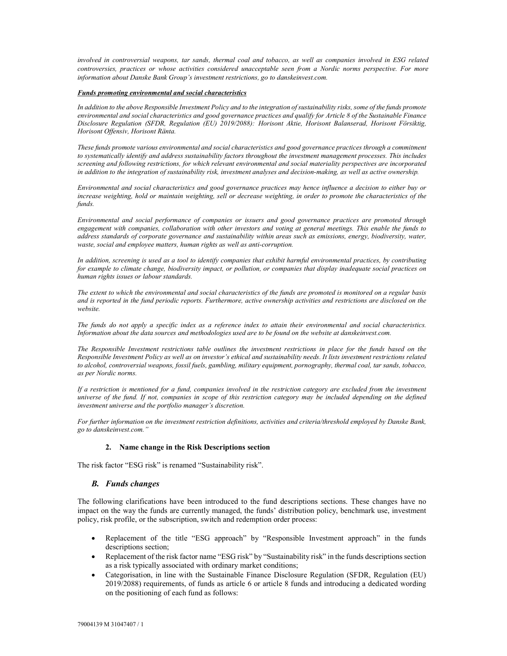involved in controversial weapons, tar sands, thermal coal and tobacco, as well as companies involved in ESG related controversies, practices or whose activities considered unacceptable seen from a Nordic norms perspective. For more information about Danske Bank Group's investment restrictions, go to danskeinvest.com.

#### Funds promoting environmental and social characteristics

In addition to the above Responsible Investment Policy and to the integration of sustainability risks, some of the funds promote environmental and social characteristics and good governance practices and qualify for Article 8 of the Sustainable Finance Disclosure Regulation (SFDR, Regulation (EU) 2019/2088): Horisont Aktie, Horisont Balanserad, Horisont Försiktig, Horisont Offensiv, Horisont Ränta.

These funds promote various environmental and social characteristics and good governance practices through a commitment to systematically identify and address sustainability factors throughout the investment management processes. This includes screening and following restrictions, for which relevant environmental and social materiality perspectives are incorporated in addition to the integration of sustainability risk, investment analyses and decision-making, as well as active ownership.

Environmental and social characteristics and good governance practices may hence influence a decision to either buy or increase weighting, hold or maintain weighting, sell or decrease weighting, in order to promote the characteristics of the funds.

Environmental and social performance of companies or issuers and good governance practices are promoted through engagement with companies, collaboration with other investors and voting at general meetings. This enable the funds to address standards of corporate governance and sustainability within areas such as emissions, energy, biodiversity, water, waste, social and employee matters, human rights as well as anti-corruption.

In addition, screening is used as a tool to identify companies that exhibit harmful environmental practices, by contributing for example to climate change, biodiversity impact, or pollution, or companies that display inadequate social practices on human rights issues or labour standards.

The extent to which the environmental and social characteristics of the funds are promoted is monitored on a regular basis and is reported in the fund periodic reports. Furthermore, active ownership activities and restrictions are disclosed on the website.

The funds do not apply a specific index as a reference index to attain their environmental and social characteristics. Information about the data sources and methodologies used are to be found on the website at danskeinvest.com.

The Responsible Investment restrictions table outlines the investment restrictions in place for the funds based on the Responsible Investment Policy as well as on investor's ethical and sustainability needs. It lists investment restrictions related to alcohol, controversial weapons, fossil fuels, gambling, military equipment, pornography, thermal coal, tar sands, tobacco, as per Nordic norms.

If a restriction is mentioned for a fund, companies involved in the restriction category are excluded from the investment universe of the fund. If not, companies in scope of this restriction category may be included depending on the defined investment universe and the portfolio manager's discretion.

For further information on the investment restriction definitions, activities and criteria/threshold employed by Danske Bank, go to danskeinvest.com."

### 2. Name change in the Risk Descriptions section

The risk factor "ESG risk" is renamed "Sustainability risk".

### B. Funds changes

The following clarifications have been introduced to the fund descriptions sections. These changes have no impact on the way the funds are currently managed, the funds' distribution policy, benchmark use, investment policy, risk profile, or the subscription, switch and redemption order process:

- Replacement of the title "ESG approach" by "Responsible Investment approach" in the funds descriptions section;
- Replacement of the risk factor name "ESG risk" by "Sustainability risk" in the funds descriptions section as a risk typically associated with ordinary market conditions;
- Categorisation, in line with the Sustainable Finance Disclosure Regulation (SFDR, Regulation (EU) 2019/2088) requirements, of funds as article 6 or article 8 funds and introducing a dedicated wording on the positioning of each fund as follows: